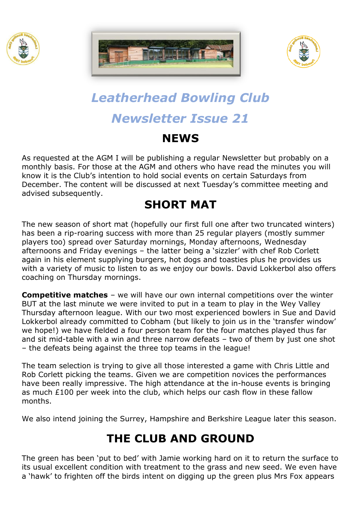





# *Leatherhead Bowling Club Newsletter Issue 21*

#### **NEWS**

As requested at the AGM I will be publishing a regular Newsletter but probably on a monthly basis. For those at the AGM and others who have read the minutes you will know it is the Club's intention to hold social events on certain Saturdays from December. The content will be discussed at next Tuesday's committee meeting and advised subsequently.

# **SHORT MAT**

The new season of short mat (hopefully our first full one after two truncated winters) has been a rip-roaring success with more than 25 regular players (mostly summer players too) spread over Saturday mornings, Monday afternoons, Wednesday afternoons and Friday evenings – the latter being a 'sizzler' with chef Rob Corlett again in his element supplying burgers, hot dogs and toasties plus he provides us with a variety of music to listen to as we enjoy our bowls. David Lokkerbol also offers coaching on Thursday mornings.

**Competitive matches** – we will have our own internal competitions over the winter BUT at the last minute we were invited to put in a team to play in the Wey Valley Thursday afternoon league. With our two most experienced bowlers in Sue and David Lokkerbol already committed to Cobham (but likely to join us in the 'transfer window' we hope!) we have fielded a four person team for the four matches played thus far and sit mid-table with a win and three narrow defeats – two of them by just one shot – the defeats being against the three top teams in the league!

The team selection is trying to give all those interested a game with Chris Little and Rob Corlett picking the teams. Given we are competition novices the performances have been really impressive. The high attendance at the in-house events is bringing as much £100 per week into the club, which helps our cash flow in these fallow months.

We also intend joining the Surrey, Hampshire and Berkshire League later this season.

# **THE CLUB AND GROUND**

The green has been 'put to bed' with Jamie working hard on it to return the surface to its usual excellent condition with treatment to the grass and new seed. We even have a 'hawk' to frighten off the birds intent on digging up the green plus Mrs Fox appears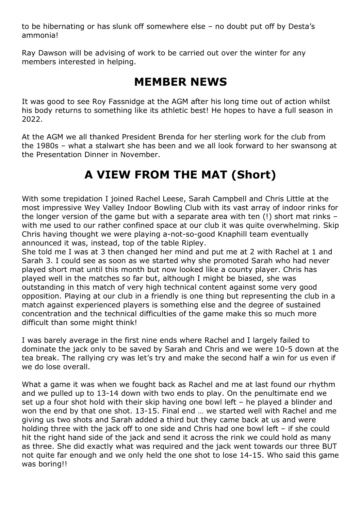to be hibernating or has slunk off somewhere else – no doubt put off by Desta's ammonia!

Ray Dawson will be advising of work to be carried out over the winter for any members interested in helping.

#### **MEMBER NEWS**

It was good to see Roy Fassnidge at the AGM after his long time out of action whilst his body returns to something like its athletic best! He hopes to have a full season in 2022.

At the AGM we all thanked President Brenda for her sterling work for the club from the 1980s – what a stalwart she has been and we all look forward to her swansong at the Presentation Dinner in November.

# **A VIEW FROM THE MAT (Short)**

With some trepidation I joined Rachel Leese, Sarah Campbell and Chris Little at the most impressive Wey Valley Indoor Bowling Club with its vast array of indoor rinks for the longer version of the game but with a separate area with ten (!) short mat rinks – with me used to our rather confined space at our club it was quite overwhelming. Skip Chris having thought we were playing a-not-so-good Knaphill team eventually announced it was, instead, top of the table Ripley.

She told me I was at 3 then changed her mind and put me at 2 with Rachel at 1 and Sarah 3. I could see as soon as we started why she promoted Sarah who had never played short mat until this month but now looked like a county player. Chris has played well in the matches so far but, although I might be biased, she was outstanding in this match of very high technical content against some very good opposition. Playing at our club in a friendly is one thing but representing the club in a match against experienced players is something else and the degree of sustained concentration and the technical difficulties of the game make this so much more difficult than some might think!

I was barely average in the first nine ends where Rachel and I largely failed to dominate the jack only to be saved by Sarah and Chris and we were 10-5 down at the tea break. The rallying cry was let's try and make the second half a win for us even if we do lose overall.

What a game it was when we fought back as Rachel and me at last found our rhythm and we pulled up to 13-14 down with two ends to play. On the penultimate end we set up a four shot hold with their skip having one bowl left – he played a blinder and won the end by that one shot. 13-15. Final end … we started well with Rachel and me giving us two shots and Sarah added a third but they came back at us and were holding three with the jack off to one side and Chris had one bowl left – if she could hit the right hand side of the jack and send it across the rink we could hold as many as three. She did exactly what was required and the jack went towards our three BUT not quite far enough and we only held the one shot to lose 14-15. Who said this game was boring!!